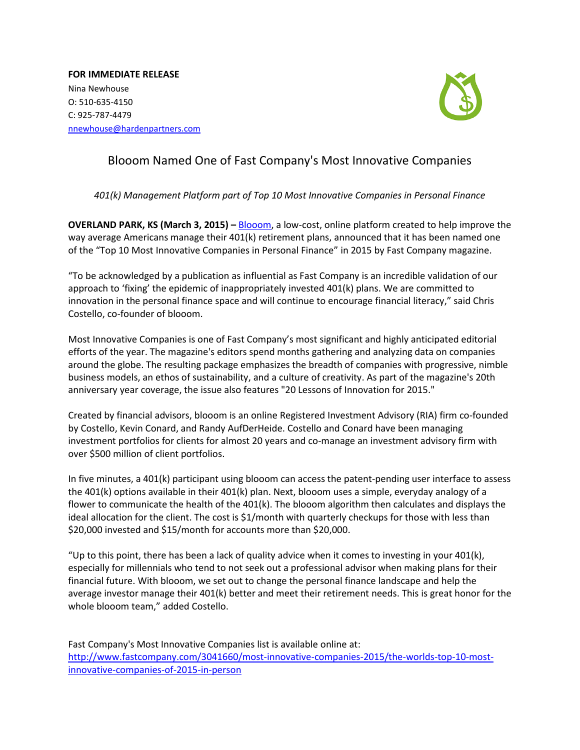**FOR IMMEDIATE RELEASE** Nina Newhouse O: 510-635-4150 C: 925-787-4479 [nnewhouse@hardenpartners.com](mailto:nnewhouse@hardenpartners.com)



## Blooom Named One of Fast Company's Most Innovative Companies

*401(k) Management Platform part of Top 10 Most Innovative Companies in Personal Finance* 

**OVERLAND PARK, KS (March 3, 2015) –** [Blooom,](http://www.blooom.com/) a low-cost, online platform created to help improve the way average Americans manage their 401(k) retirement plans, announced that it has been named one of the "Top 10 Most Innovative Companies in Personal Finance" in 2015 by Fast Company magazine.

"To be acknowledged by a publication as influential as Fast Company is an incredible validation of our approach to 'fixing' the epidemic of inappropriately invested 401(k) plans. We are committed to innovation in the personal finance space and will continue to encourage financial literacy," said Chris Costello, co-founder of blooom.

Most Innovative Companies is one of Fast Company's most significant and highly anticipated editorial efforts of the year. The magazine's editors spend months gathering and analyzing data on companies around the globe. The resulting package emphasizes the breadth of companies with progressive, nimble business models, an ethos of sustainability, and a culture of creativity. As part of the magazine's 20th anniversary year coverage, the issue also features "20 Lessons of Innovation for 2015."

Created by financial advisors, blooom is an online Registered Investment Advisory (RIA) firm co-founded by Costello, Kevin Conard, and Randy AufDerHeide. Costello and Conard have been managing investment portfolios for clients for almost 20 years and co-manage an investment advisory firm with over \$500 million of client portfolios.

In five minutes, a 401(k) participant using blooom can access the patent-pending user interface to assess the 401(k) options available in their 401(k) plan. Next, blooom uses a simple, everyday analogy of a flower to communicate the health of the 401(k). The blooom algorithm then calculates and displays the ideal allocation for the client. The cost is \$1/month with quarterly checkups for those with less than \$20,000 invested and \$15/month for accounts more than \$20,000.

"Up to this point, there has been a lack of quality advice when it comes to investing in your 401(k), especially for millennials who tend to not seek out a professional advisor when making plans for their financial future. With blooom, we set out to change the personal finance landscape and help the average investor manage their 401(k) better and meet their retirement needs. This is great honor for the whole blooom team," added Costello.

Fast Company's Most Innovative Companies list is available online at: [http://www.fastcompany.com/3041660/most-innovative-companies-2015/the-worlds-top-10-most](http://www.fastcompany.com/3041660/most-innovative-companies-2015/the-worlds-top-10-most-innovative-companies-of-2015-in-person)[innovative-companies-of-2015-in-person](http://www.fastcompany.com/3041660/most-innovative-companies-2015/the-worlds-top-10-most-innovative-companies-of-2015-in-person)